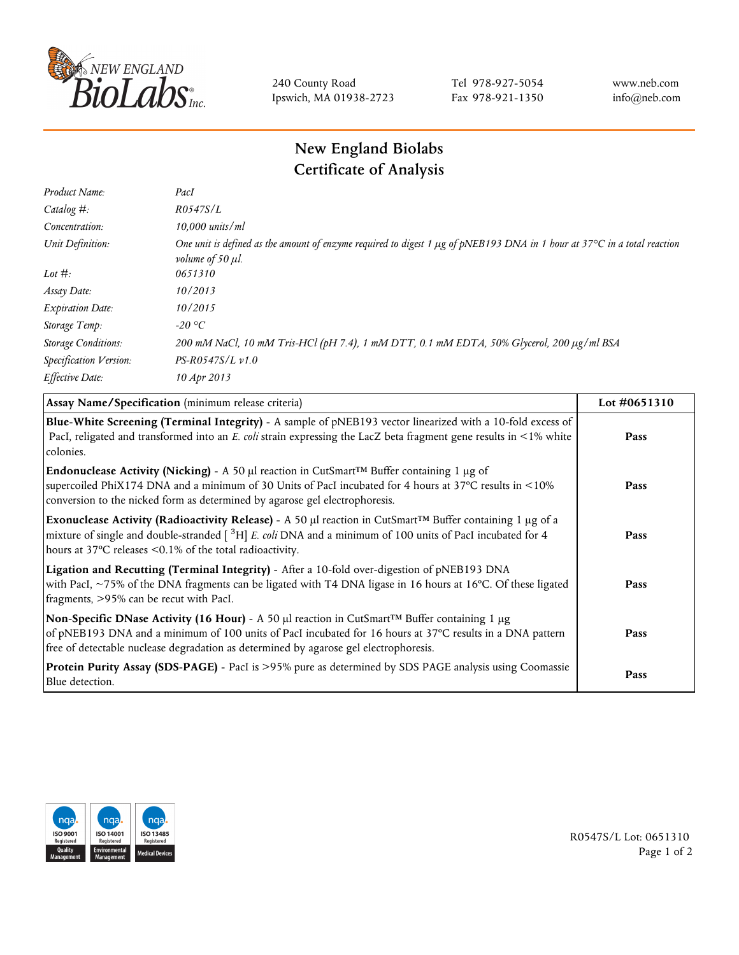

240 County Road Ipswich, MA 01938-2723 Tel 978-927-5054 Fax 978-921-1350 www.neb.com info@neb.com

## **New England Biolabs Certificate of Analysis**

| Product Name:              | PacI                                                                                                                                                               |
|----------------------------|--------------------------------------------------------------------------------------------------------------------------------------------------------------------|
| Catalog $#$ :              | R0547S/L                                                                                                                                                           |
| Concentration:             | $10,000$ units/ml                                                                                                                                                  |
| Unit Definition:           | One unit is defined as the amount of enzyme required to digest 1 µg of pNEB193 DNA in 1 hour at 37°C in a total reaction<br><i>volume of 50 <math>\mu</math>l.</i> |
| Lot $\#$ :                 | 0651310                                                                                                                                                            |
| Assay Date:                | 10/2013                                                                                                                                                            |
| <b>Expiration Date:</b>    | 10/2015                                                                                                                                                            |
| Storage Temp:              | $-20$ °C                                                                                                                                                           |
| <b>Storage Conditions:</b> | 200 mM NaCl, 10 mM Tris-HCl (pH 7.4), 1 mM DTT, 0.1 mM EDTA, 50% Glycerol, 200 μg/ml BSA                                                                           |
| Specification Version:     | $PS-R0547S/L \nu 1.0$                                                                                                                                              |
| Effective Date:            | 10 Apr 2013                                                                                                                                                        |

| Assay Name/Specification (minimum release criteria)                                                                                                                                                                                                                                                                        | Lot #0651310 |
|----------------------------------------------------------------------------------------------------------------------------------------------------------------------------------------------------------------------------------------------------------------------------------------------------------------------------|--------------|
| Blue-White Screening (Terminal Integrity) - A sample of pNEB193 vector linearized with a 10-fold excess of<br>PacI, religated and transformed into an E. coli strain expressing the LacZ beta fragment gene results in <1% white<br>colonies.                                                                              | Pass         |
| <b>Endonuclease Activity (Nicking)</b> - A 50 µl reaction in CutSmart <sup>TM</sup> Buffer containing 1 µg of<br>supercoiled PhiX174 DNA and a minimum of 30 Units of PacI incubated for 4 hours at 37°C results in <10%<br>conversion to the nicked form as determined by agarose gel electrophoresis.                    | Pass         |
| Exonuclease Activity (Radioactivity Release) - A 50 $\mu$ l reaction in CutSmart <sup>TM</sup> Buffer containing 1 $\mu$ g of a<br>mixture of single and double-stranded $[$ <sup>3</sup> H $]$ E. coli DNA and a minimum of 100 units of PacI incubated for 4<br>hours at 37°C releases <0.1% of the total radioactivity. | Pass         |
| Ligation and Recutting (Terminal Integrity) - After a 10-fold over-digestion of pNEB193 DNA<br>with PacI, ~75% of the DNA fragments can be ligated with T4 DNA ligase in 16 hours at 16°C. Of these ligated<br>fragments, >95% can be recut with PacI.                                                                     | Pass         |
| Non-Specific DNase Activity (16 Hour) - A 50 $\mu$ l reaction in CutSmart <sup>TM</sup> Buffer containing 1 $\mu$ g<br>of pNEB193 DNA and a minimum of 100 units of PacI incubated for 16 hours at 37°C results in a DNA pattern<br>free of detectable nuclease degradation as determined by agarose gel electrophoresis.  | Pass         |
| Protein Purity Assay (SDS-PAGE) - PacI is >95% pure as determined by SDS PAGE analysis using Coomassie<br>Blue detection.                                                                                                                                                                                                  | Pass         |



R0547S/L Lot: 0651310 Page 1 of 2